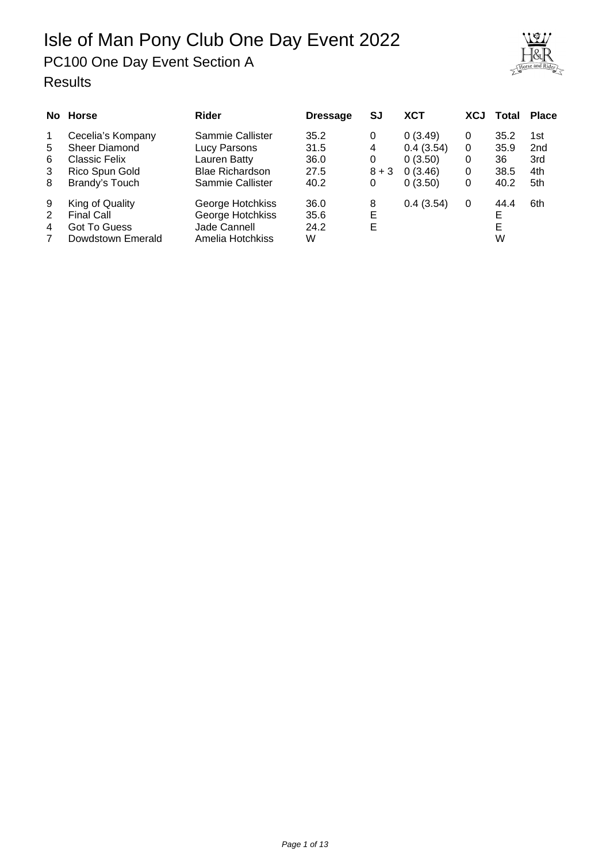PC100 One Day Event Section A

| orse and Rider |
|----------------|

|                                 | No Horse                                                                                | <b>Rider</b>                                                                                   | <b>Dressage</b>                      | SJ                          | <b>XCT</b>                                            | <b>XCJ</b>            | Total                              | <b>Place</b>                                |
|---------------------------------|-----------------------------------------------------------------------------------------|------------------------------------------------------------------------------------------------|--------------------------------------|-----------------------------|-------------------------------------------------------|-----------------------|------------------------------------|---------------------------------------------|
| $\mathbf 1$<br>5<br>6<br>3<br>8 | Cecelia's Kompany<br>Sheer Diamond<br>Classic Felix<br>Rico Spun Gold<br>Brandy's Touch | Sammie Callister<br>Lucy Parsons<br>Lauren Batty<br><b>Blae Richardson</b><br>Sammie Callister | 35.2<br>31.5<br>36.0<br>27.5<br>40.2 | 0<br>4<br>0<br>$8 + 3$<br>0 | 0(3.49)<br>0.4(3.54)<br>0(3.50)<br>0(3.46)<br>0(3.50) | 0<br>0<br>0<br>0<br>0 | 35.2<br>35.9<br>36<br>38.5<br>40.2 | 1st<br>2 <sub>nd</sub><br>3rd<br>4th<br>5th |
| 9<br>2<br>4<br>7                | King of Quality<br><b>Final Call</b><br>Got To Guess<br>Dowdstown Emerald               | George Hotchkiss<br>George Hotchkiss<br>Jade Cannell<br>Amelia Hotchkiss                       | 36.0<br>35.6<br>24.2<br>W            | 8<br>Е<br>Е                 | 0.4(3.54)                                             | 0                     | 44.4<br>Е<br>Е<br>W                | 6th                                         |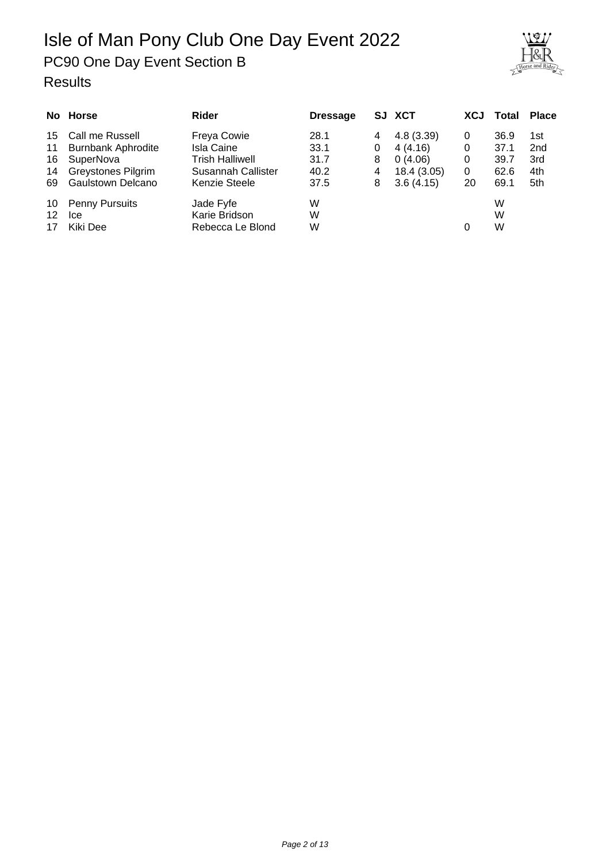## Isle of Man Pony Club One Day Event 2022 PC90 One Day Event Section B





|    | No Horse                  | Rider                     | <b>Dressage</b> |   | SJ XCT      | <b>XCJ</b> | Total | <b>Place</b>    |
|----|---------------------------|---------------------------|-----------------|---|-------------|------------|-------|-----------------|
| 15 | Call me Russell           | <b>Freya Cowie</b>        | 28.1            | 4 | 4.8(3.39)   | 0          | 36.9  | 1st             |
| 11 | <b>Burnbank Aphrodite</b> | Isla Caine                | 33.1            | 0 | 4(4.16)     | 0          | 37.1  | 2 <sub>nd</sub> |
| 16 | SuperNova                 | Trish Halliwell           | 31.7            | 8 | 0(4.06)     | 0          | 39.7  | 3rd             |
| 14 | <b>Greystones Pilgrim</b> | <b>Susannah Callister</b> | 40.2            | 4 | 18.4 (3.05) | 0          | 62.6  | 4th             |
| 69 | Gaulstown Delcano         | Kenzie Steele             | 37.5            | 8 | 3.6(4.15)   | 20         | 69.1  | 5th             |
| 10 | <b>Penny Pursuits</b>     | Jade Fyfe                 | W               |   |             |            | W     |                 |
| 12 | Ice                       | Karie Bridson             | W               |   |             |            | W     |                 |
| 17 | Kiki Dee                  | Rebecca Le Blond          | W               |   |             |            | W     |                 |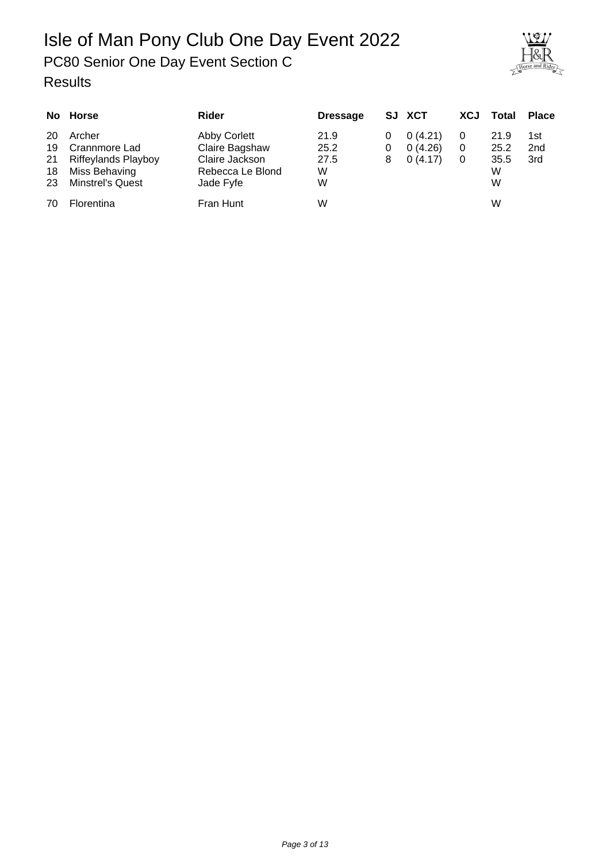## Isle of Man Pony Club One Day Event 2022 PC80 Senior One Day Event Section C



|                            | No Horse                                                                                          | Rider                                                                             | <b>Dressage</b>                |        | SJ XCT                        | <b>XCJ</b> | Total                          | <b>Place</b>                  |
|----------------------------|---------------------------------------------------------------------------------------------------|-----------------------------------------------------------------------------------|--------------------------------|--------|-------------------------------|------------|--------------------------------|-------------------------------|
| 20<br>19<br>21<br>18<br>23 | Archer<br>Crannmore Lad<br><b>Riffeylands Playboy</b><br>Miss Behaving<br><b>Minstrel's Quest</b> | Abby Corlett<br>Claire Bagshaw<br>Claire Jackson<br>Rebecca Le Blond<br>Jade Fyfe | 21.9<br>25.2<br>27.5<br>W<br>W | 0<br>8 | 0(4.21)<br>0(4.26)<br>0(4.17) | 0          | 21.9<br>25.2<br>35.5<br>W<br>W | 1st<br>2 <sub>nd</sub><br>3rd |
| 70                         | Florentina                                                                                        | Fran Hunt                                                                         | W                              |        |                               |            | W                              |                               |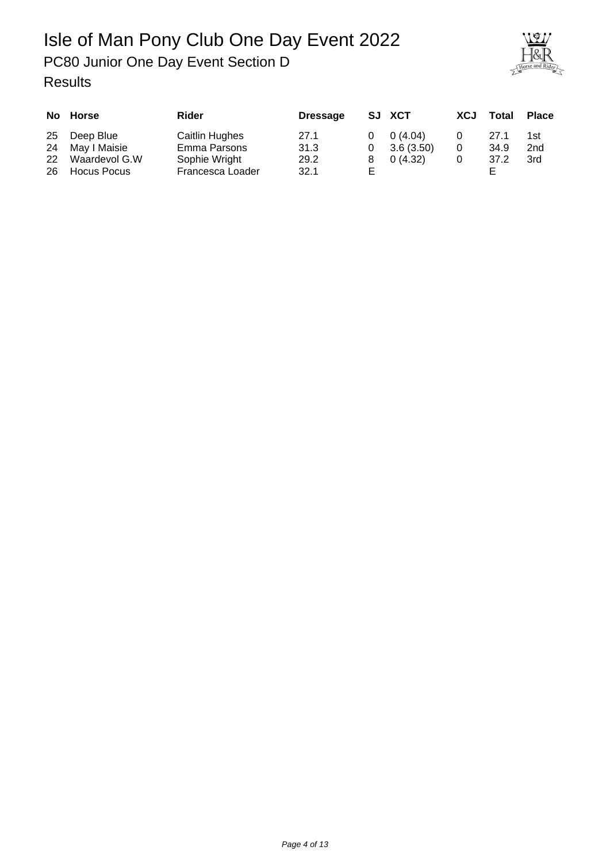#### Isle of Man Pony Club One Day Event 2022 PC80 Junior One Day Event Section D Results



|          | No Horse                            | Rider                             | <b>Dressage</b> |          | SJ XCT            | XCJ | Total | <b>Place</b> |
|----------|-------------------------------------|-----------------------------------|-----------------|----------|-------------------|-----|-------|--------------|
| 25       | Deep Blue                           | Caitlin Hughes                    | 27.1            |          | $0 \quad 0(4.04)$ |     | 27.1  | 1st          |
| 24       | May I Maisie                        | Emma Parsons                      | 31.3            |          | $0$ 3.6 (3.50)    |     | 34.9  | 2nd          |
| 22<br>26 | Waardevol G.W<br><b>Hocus Pocus</b> | Sophie Wright<br>Francesca Loader | 29.2<br>32.1    | 8.<br>F. | 0(4.32)           |     | 37.2  | 3rd          |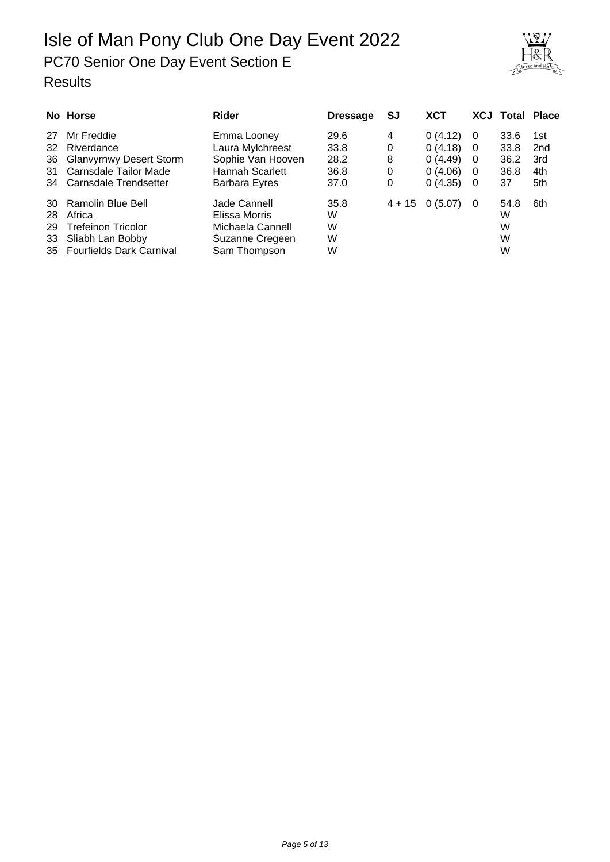## Isle of Man Pony Club One Day Event 2022 PC70 Senior One Day Event Section E Results



|     | No Horse                    | Rider                | <b>Dressage</b> | SJ       | <b>XCT</b> |          | <b>XCJ Total Place</b> |                 |
|-----|-----------------------------|----------------------|-----------------|----------|------------|----------|------------------------|-----------------|
| 27  | Mr Freddie                  | Emma Looney          | 29.6            | 4        | 0(4.12)    | 0        | 33.6                   | 1st             |
| 32  | Riverdance                  | Laura Mylchreest     | 33.8            | 0        | 0(4.18)    | $\Omega$ | 33.8                   | 2 <sub>nd</sub> |
|     | 36 Glanvyrnwy Desert Storm  | Sophie Van Hooven    | 28.2            | 8        | 0(4.49)    | $\Omega$ | 36.2                   | 3rd             |
| 31  | Carnsdale Tailor Made       | Hannah Scarlett      | 36.8            | 0        | 0(4.06)    | $\Omega$ | 36.8                   | 4th             |
|     | 34 Carnsdale Trendsetter    | <b>Barbara Eyres</b> | 37.0            | 0        | 0(4.35)    | 0        | 37                     | 5th             |
| 30  | Ramolin Blue Bell           | Jade Cannell         | 35.8            | $4 + 15$ | 0(5.07)    | 0        | 54.8                   | 6th             |
| 28. | Africa                      | Elissa Morris        | W               |          |            |          | W                      |                 |
| 29  | <b>Trefeinon Tricolor</b>   | Michaela Cannell     | W               |          |            |          | W                      |                 |
| 33  | Sliabh Lan Bobby            | Suzanne Cregeen      | W               |          |            |          | W                      |                 |
|     | 35 Fourfields Dark Carnival | Sam Thompson         | W               |          |            |          | W                      |                 |

Page 5 of 13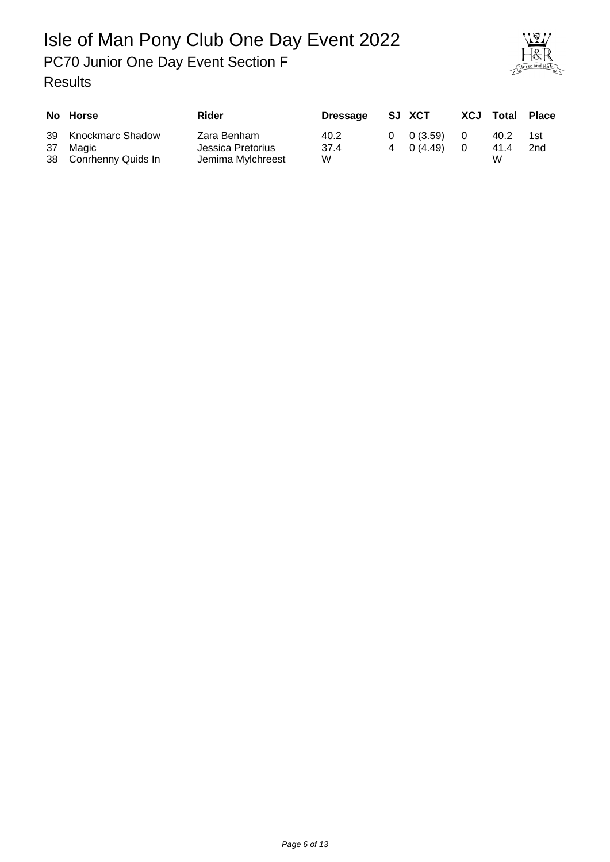## Isle of Man Pony Club One Day Event 2022 PC70 Junior One Day Event Section F



| No Horse                                                 | Rider                                                 | <b>Dressage</b>   | SJ XCT                                 | <b>XCJ Total</b>  | Place      |
|----------------------------------------------------------|-------------------------------------------------------|-------------------|----------------------------------------|-------------------|------------|
| 39 Knockmarc Shadow<br>37 Magic<br>38 Conrhenny Quids In | Zara Benham<br>Jessica Pretorius<br>Jemima Mylchreest | 40.2<br>37.4<br>W | $0 \quad 0(3.59)$<br>$4 \quad 0(4.49)$ | 40.2<br>41.4<br>W | 1st<br>2nd |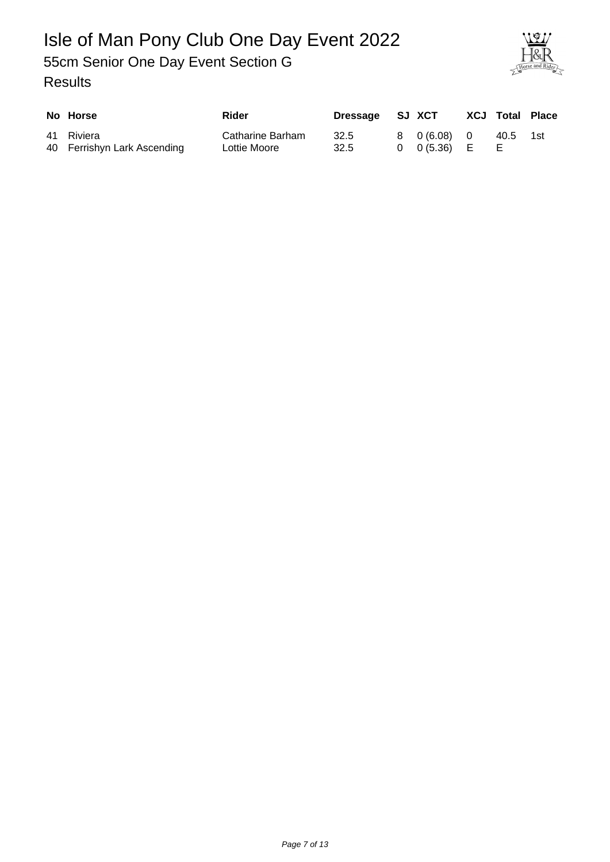### Isle of Man Pony Club One Day Event 2022 55cm Senior One Day Event Section G Results



| No Horse                                  | Rider                            | Dressage SJ XCT |                                           | <b>XCJ Total Place</b> |     |
|-------------------------------------------|----------------------------------|-----------------|-------------------------------------------|------------------------|-----|
| 41 Riviera<br>40 Ferrishyn Lark Ascending | Catharine Barham<br>Lottie Moore | 32.5<br>32.5    | 8 0 (6.08) 0<br>$0 \quad 0(5.36) \quad E$ | 40.5                   | 1st |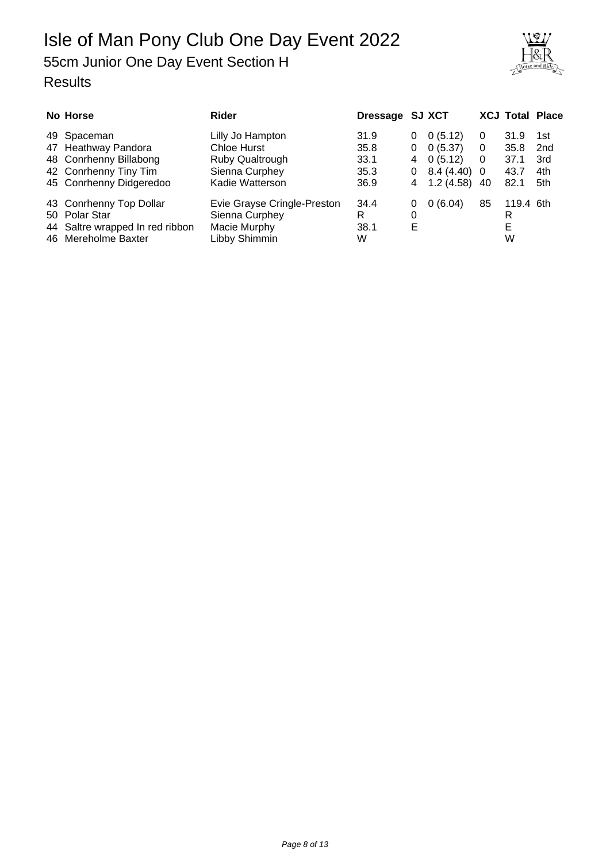## Isle of Man Pony Club One Day Event 2022 55cm Junior One Day Event Section H





| No Horse                        | <b>Rider</b>                | Dressage SJ XCT |   |               |          | <b>XCJ Total Place</b> |                 |
|---------------------------------|-----------------------------|-----------------|---|---------------|----------|------------------------|-----------------|
| 49 Spaceman                     | Lilly Jo Hampton            | 31.9            | 0 | 0(5.12)       | 0        | 31.9                   | 1st             |
| 47 Heathway Pandora             | Chloe Hurst                 | 35.8            | 0 | 0(5.37)       | 0        | 35.8                   | 2 <sub>nd</sub> |
| 48 Conrhenny Billabong          | Ruby Qualtrough             | 33.1            | 4 | 0(5.12)       | $\Omega$ | 37.1                   | 3rd             |
| 42 Conrhenny Tiny Tim           | Sienna Curphey              | 35.3            | 0 | $8.4(4.40)$ 0 |          | 43.7                   | 4th             |
| 45 Conrhenny Didgeredoo         | Kadie Watterson             | 36.9            | 4 | 1.2(4.58)     | -40      | 82.1                   | 5th             |
| 43 Conrhenny Top Dollar         | Evie Grayse Cringle-Preston | 34.4            | 0 | 0(6.04)       | 85       | 119.4 6th              |                 |
| 50 Polar Star                   | Sienna Curphey              | R               | 0 |               |          | R                      |                 |
| 44 Saltre wrapped In red ribbon | Macie Murphy                | 38.1            | Е |               |          | Е                      |                 |
| 46 Mereholme Baxter             | Libby Shimmin               | W               |   |               |          | W                      |                 |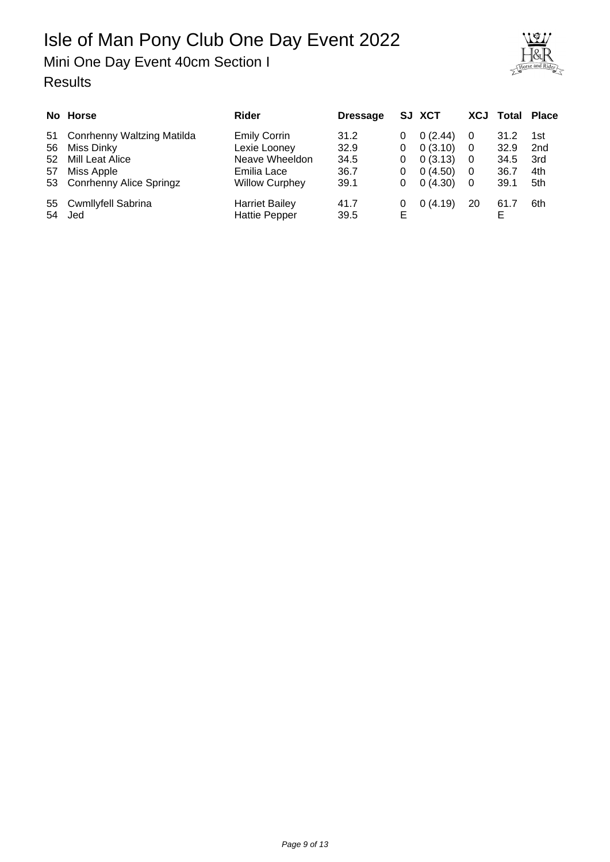## Mini One Day Event 40cm Section I

| No Horse                      | Rider                 | <b>Dressage</b> |   | SJ XCT  |                | <b>XCJ Total Place</b> |                 |
|-------------------------------|-----------------------|-----------------|---|---------|----------------|------------------------|-----------------|
| 51 Conrhenny Waltzing Matilda | <b>Emily Corrin</b>   | 31.2            | 0 | 0(2.44) | - 0            | 31.2                   | 1st             |
| 56 Miss Dinky                 | Lexie Looney          | 32.9            | 0 | 0(3.10) | - 0            | 32.9                   | 2 <sub>nd</sub> |
| 52 Mill Leat Alice            | Neave Wheeldon        | 34.5            | 0 | 0(3.13) | - 0            | 34.5                   | 3rd             |
| 57 Miss Apple                 | Emilia Lace           | 36.7            | 0 | 0(4.50) | $\overline{0}$ | 36.7                   | 4th             |
| 53 Conrhenny Alice Springz    | <b>Willow Curphey</b> | 39.1            | 0 | 0(4.30) | 0              | 39.1                   | 5th             |
| 55 Cwmllyfell Sabrina         | <b>Harriet Bailey</b> | 41.7            | 0 | 0(4.19) | 20             | 61.7                   | 6th             |
| 54 Jed                        | <b>Hattie Pepper</b>  | 39.5            | Е |         |                |                        |                 |

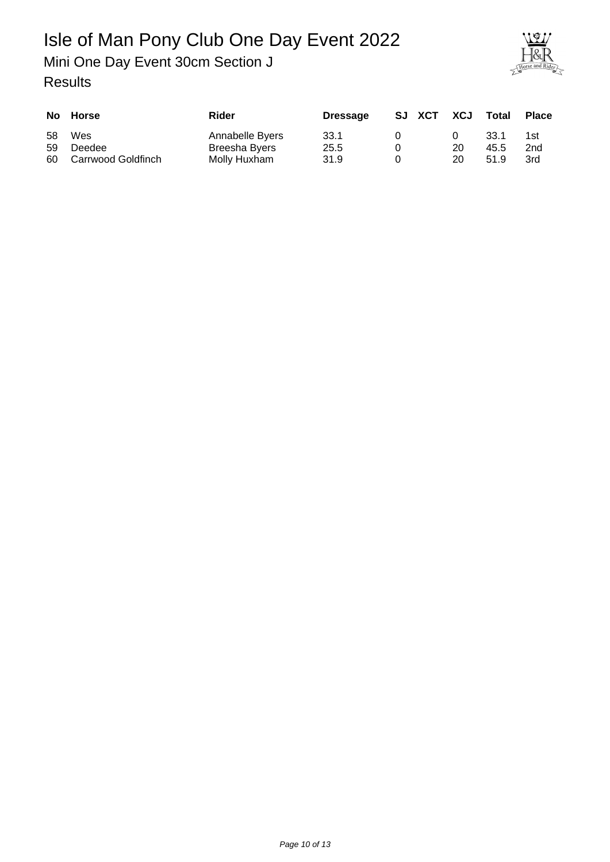Mini One Day Event 30cm Section J



|          | No Horse                               | Rider                                            | <b>Dressage</b>      | SJ XCT | XCJ      | <b>Total</b>         | <b>Place</b>      |
|----------|----------------------------------------|--------------------------------------------------|----------------------|--------|----------|----------------------|-------------------|
| 58<br>59 | Wes<br>Deedee<br>60 Carrwood Goldfinch | Annabelle Byers<br>Breesha Byers<br>Molly Huxham | 33.1<br>25.5<br>31.9 |        | 20<br>20 | 33.1<br>45.5<br>51.9 | 1st<br>2nd<br>3rd |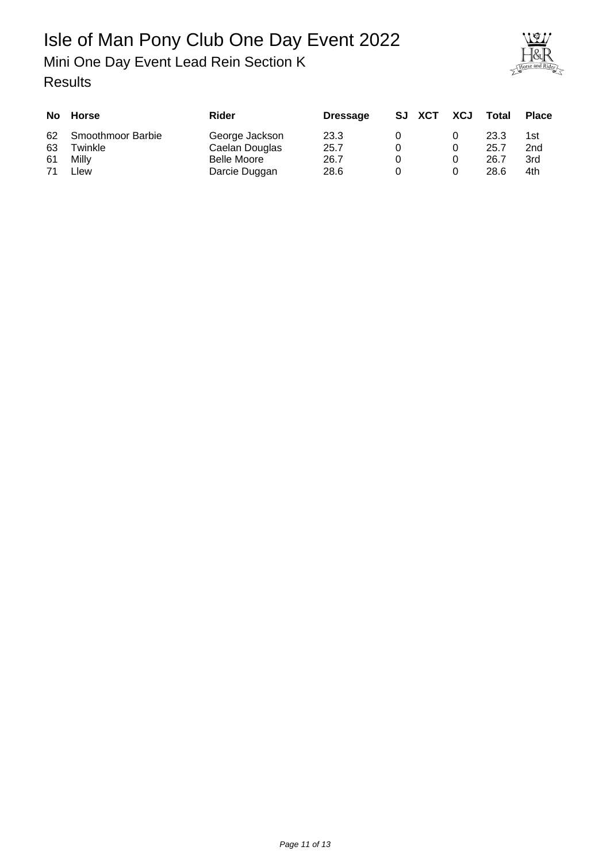Mini One Day Event Lead Rein Section K

| orse and Rider |
|----------------|

|    | No Horse          | Rider          | <b>Dressage</b> | SJ XCT | XCJ | Total | <b>Place</b>    |
|----|-------------------|----------------|-----------------|--------|-----|-------|-----------------|
| 62 | Smoothmoor Barbie | George Jackson | 23.3            |        |     | 23.3  | 1st             |
| 63 | Twinkle           | Caelan Douglas | 25.7            |        |     | 25.7  | 2 <sub>nd</sub> |
| 61 | Milly             | Belle Moore    | 26.7            |        |     | 26.7  | 3rd             |
|    | Llew              | Darcie Duggan  | 28.6            |        |     | 28.6  | 4th             |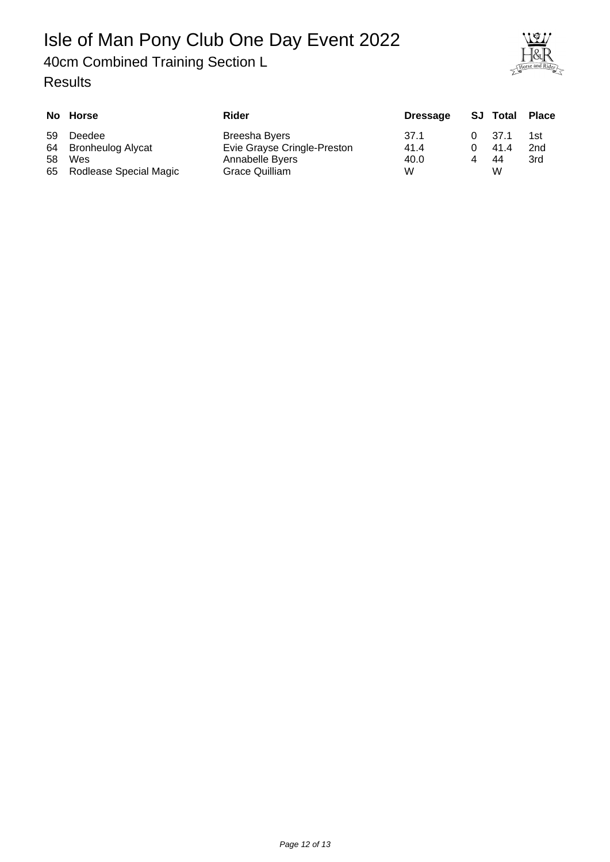#### 40cm Combined Training Section L



|     | No Horse                  | Rider                       | <b>Dressage</b> | <b>SJ</b> Total | Place |
|-----|---------------------------|-----------------------------|-----------------|-----------------|-------|
| 59  | Deedee                    | Breesha Byers               | 37.1            | 37.1            | 1st   |
|     | 64 Bronheulog Alycat      | Evie Grayse Cringle-Preston | 41.4            | 41.4            | 2nd   |
| 58. | Wes                       | Annabelle Byers             | 40.0            | 44              | 3rd   |
|     | 65 Rodlease Special Magic | Grace Quilliam              | W               | w               |       |